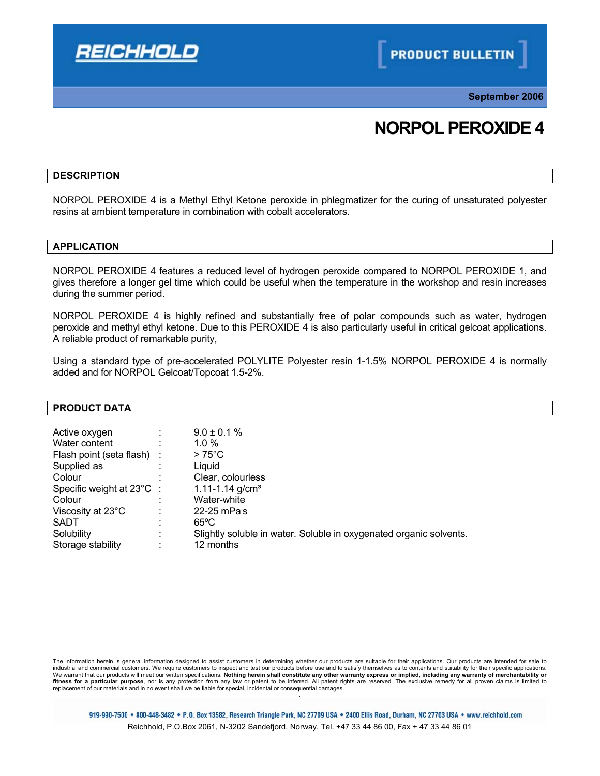

**September 2006**

# **NORPOL PEROXIDE 4**

#### **DESCRIPTION**

NORPOL PEROXIDE 4 is a Methyl Ethyl Ketone peroxide in phlegmatizer for the curing of unsaturated polyester resins at ambient temperature in combination with cobalt accelerators.

# **APPLICATION**

NORPOL PEROXIDE 4 features a reduced level of hydrogen peroxide compared to NORPOL PEROXIDE 1, and gives therefore a longer gel time which could be useful when the temperature in the workshop and resin increases during the summer period.

NORPOL PEROXIDE 4 is highly refined and substantially free of polar compounds such as water, hydrogen peroxide and methyl ethyl ketone. Due to this PEROXIDE 4 is also particularly useful in critical gelcoat applications. A reliable product of remarkable purity,

Using a standard type of pre-accelerated POLYLITE Polyester resin 1-1.5% NORPOL PEROXIDE 4 is normally added and for NORPOL Gelcoat/Topcoat 1.5-2%.

#### **PRODUCT DATA**

| Storage stability<br>12 months | Active oxygen<br>Water content<br>Flash point (seta flash)<br>Supplied as<br>Colour<br>Specific weight at 23°C :<br>Colour<br>Viscosity at 23°C<br><b>SADT</b><br>Solubility | ٠ | $9.0 \pm 0.1 \%$<br>$1.0 \%$<br>$>75^{\circ}$ C<br>Liauid<br>Clear, colourless<br>1.11-1.14 $g/cm3$<br>Water-white<br>22-25 mPas<br>$65^{\circ}$ C<br>Slightly soluble in water. Soluble in oxygenated organic solvents. |
|--------------------------------|------------------------------------------------------------------------------------------------------------------------------------------------------------------------------|---|--------------------------------------------------------------------------------------------------------------------------------------------------------------------------------------------------------------------------|
|--------------------------------|------------------------------------------------------------------------------------------------------------------------------------------------------------------------------|---|--------------------------------------------------------------------------------------------------------------------------------------------------------------------------------------------------------------------------|

The information herein is general information designed to assist customers in determining whether our products are suitable for their applications. Our products are intended for sale to<br>industrial and commercial customers. We warrant that our products will meet our written specifications. Nothing herein shall constitute any other warranty express or implied, including any warranty of merchantability or fitness for a particular purpose, nor is any protection from any law or patent to be inferred. All patent rights are reserved. The exclusive remedy for all proven claims is limited to<br>replacement of our materials and in no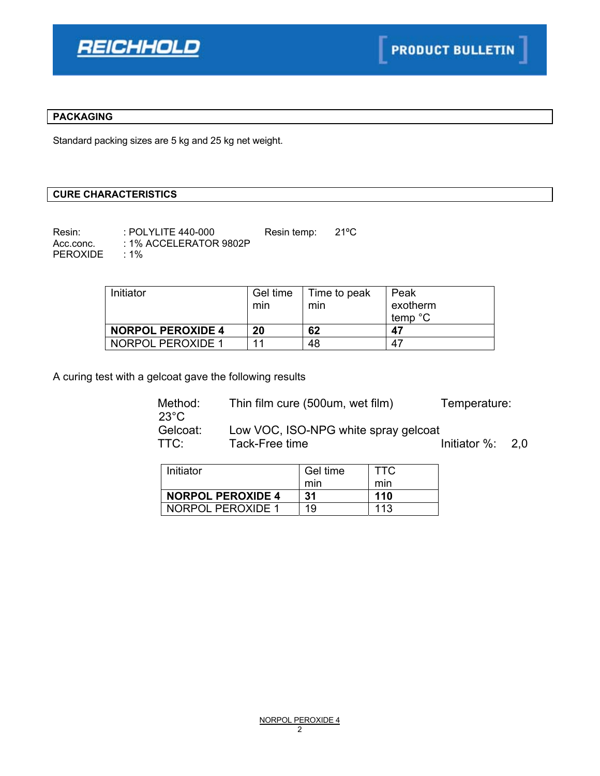

# **PACKAGING**

Standard packing sizes are 5 kg and 25 kg net weight.

# **CURE CHARACTERISTICS**

Resin: : POLYLITE 440-000 Resin temp: 21°C Acc.conc. : 1% ACCELERATOR 9802P PEROXIDE : 1%

| Initiator                | Gel time<br>min | Time to peak<br>min | Peak<br>exotherm<br>temp °C |
|--------------------------|-----------------|---------------------|-----------------------------|
| <b>NORPOL PEROXIDE 4</b> | 20              | 62                  | 47                          |
| NORPOL PEROXIDE 1        | 11              | 48                  | 47                          |

A curing test with a gelcoat gave the following results

| Method:<br>$23^{\circ}$ C | Thin film cure (500um, wet film)     | Temperature:         |  |
|---------------------------|--------------------------------------|----------------------|--|
| Gelcoat:                  | Low VOC, ISO-NPG white spray gelcoat |                      |  |
| TTC:                      | Tack-Free time                       | Initiator $\%$ : 2,0 |  |

| Initiator                | Gel time | TTC |
|--------------------------|----------|-----|
|                          | min      | mın |
| <b>NORPOL PEROXIDE 4</b> | 31       | 110 |
| NORPOL PEROXIDE 1        | 19       | 113 |